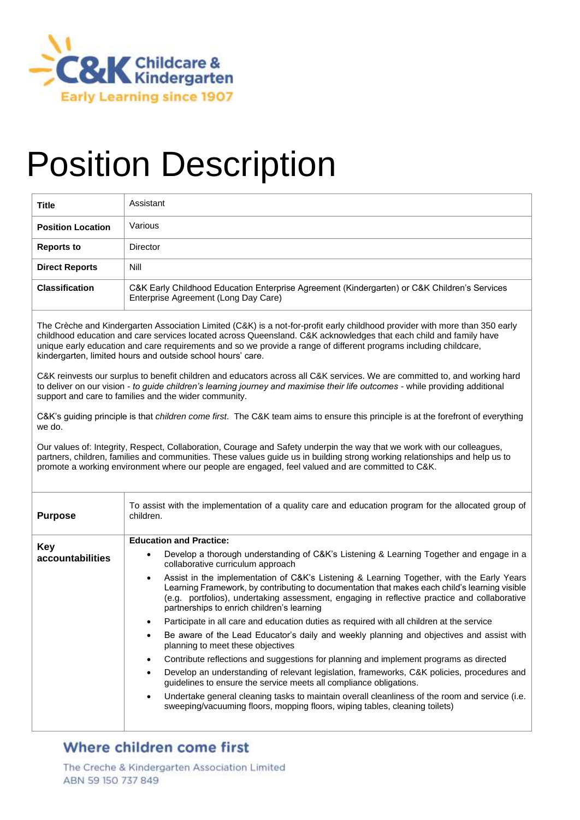

# Position Description

| <b>Title</b>             | Assistant                                                                                                                            |
|--------------------------|--------------------------------------------------------------------------------------------------------------------------------------|
| <b>Position Location</b> | Various                                                                                                                              |
| <b>Reports to</b>        | Director                                                                                                                             |
| <b>Direct Reports</b>    | Nill                                                                                                                                 |
| <b>Classification</b>    | C&K Early Childhood Education Enterprise Agreement (Kindergarten) or C&K Children's Services<br>Enterprise Agreement (Long Day Care) |

The Crèche and Kindergarten Association Limited (C&K) is a not-for-profit early childhood provider with more than 350 early childhood education and care services located across Queensland. C&K acknowledges that each child and family have unique early education and care requirements and so we provide a range of different programs including childcare, kindergarten, limited hours and outside school hours' care.

C&K reinvests our surplus to benefit children and educators across all C&K services. We are committed to, and working hard to deliver on our vision - *to guide children's learning journey and maximise their life outcomes* - while providing additional support and care to families and the wider community.

C&K's guiding principle is that *children come first*. The C&K team aims to ensure this principle is at the forefront of everything we do.

Our values of: Integrity, Respect, Collaboration, Courage and Safety underpin the way that we work with our colleagues, partners, children, families and communities. These values guide us in building strong working relationships and help us to promote a working environment where our people are engaged, feel valued and are committed to C&K.

| <b>Purpose</b>                 | To assist with the implementation of a quality care and education program for the allocated group of<br>children.                                                                                                                                                                                                                                     |  |
|--------------------------------|-------------------------------------------------------------------------------------------------------------------------------------------------------------------------------------------------------------------------------------------------------------------------------------------------------------------------------------------------------|--|
| <b>Key</b><br>accountabilities | <b>Education and Practice:</b>                                                                                                                                                                                                                                                                                                                        |  |
|                                | Develop a thorough understanding of C&K's Listening & Learning Together and engage in a<br>$\bullet$<br>collaborative curriculum approach                                                                                                                                                                                                             |  |
|                                | Assist in the implementation of C&K's Listening & Learning Together, with the Early Years<br>$\bullet$<br>Learning Framework, by contributing to documentation that makes each child's learning visible<br>(e.g. portfolios), undertaking assessment, engaging in reflective practice and collaborative<br>partnerships to enrich children's learning |  |
|                                | Participate in all care and education duties as required with all children at the service                                                                                                                                                                                                                                                             |  |
|                                | Be aware of the Lead Educator's daily and weekly planning and objectives and assist with<br>planning to meet these objectives                                                                                                                                                                                                                         |  |
|                                | Contribute reflections and suggestions for planning and implement programs as directed<br>$\bullet$                                                                                                                                                                                                                                                   |  |
|                                | Develop an understanding of relevant legislation, frameworks, C&K policies, procedures and<br>$\bullet$<br>guidelines to ensure the service meets all compliance obligations.                                                                                                                                                                         |  |
|                                | Undertake general cleaning tasks to maintain overall cleanliness of the room and service (i.e.<br>$\bullet$<br>sweeping/vacuuming floors, mopping floors, wiping tables, cleaning toilets)                                                                                                                                                            |  |
|                                |                                                                                                                                                                                                                                                                                                                                                       |  |

### Where children come first

The Creche & Kindergarten Association Limited ABN 59 150 737 849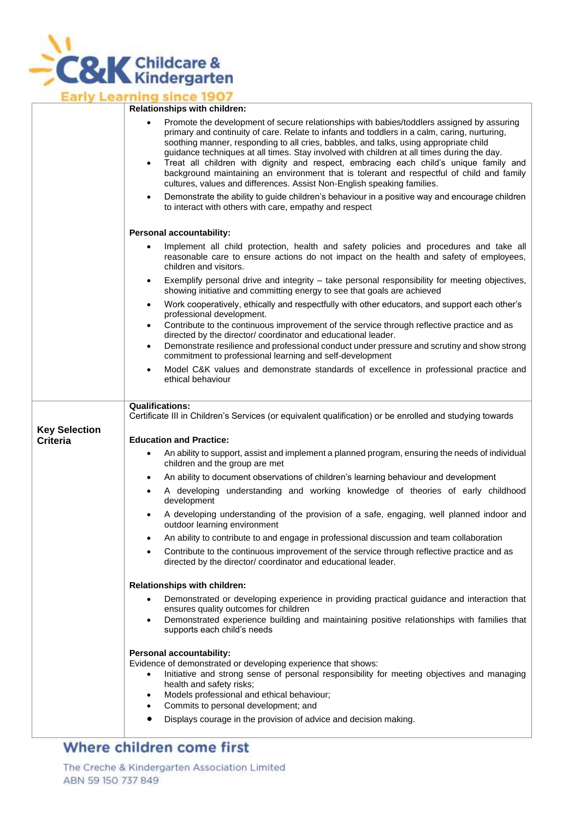

# **Early Learning since 1907**

|                      | <b>NUMBER OF SHIPS</b> WILL CHILD UP                                                                                                                                                                                                                                                                                                                                                                                                                                                                                                                                                                                                                                        |  |  |
|----------------------|-----------------------------------------------------------------------------------------------------------------------------------------------------------------------------------------------------------------------------------------------------------------------------------------------------------------------------------------------------------------------------------------------------------------------------------------------------------------------------------------------------------------------------------------------------------------------------------------------------------------------------------------------------------------------------|--|--|
|                      | Promote the development of secure relationships with babies/toddlers assigned by assuring<br>$\bullet$<br>primary and continuity of care. Relate to infants and toddlers in a calm, caring, nurturing,<br>soothing manner, responding to all cries, babbles, and talks, using appropriate child<br>guidance techniques at all times. Stay involved with children at all times during the day.<br>Treat all children with dignity and respect, embracing each child's unique family and<br>$\bullet$<br>background maintaining an environment that is tolerant and respectful of child and family<br>cultures, values and differences. Assist Non-English speaking families. |  |  |
|                      | Demonstrate the ability to guide children's behaviour in a positive way and encourage children<br>$\bullet$<br>to interact with others with care, empathy and respect                                                                                                                                                                                                                                                                                                                                                                                                                                                                                                       |  |  |
|                      | <b>Personal accountability:</b>                                                                                                                                                                                                                                                                                                                                                                                                                                                                                                                                                                                                                                             |  |  |
|                      | Implement all child protection, health and safety policies and procedures and take all<br>٠<br>reasonable care to ensure actions do not impact on the health and safety of employees,<br>children and visitors.                                                                                                                                                                                                                                                                                                                                                                                                                                                             |  |  |
|                      | Exemplify personal drive and integrity - take personal responsibility for meeting objectives,<br>$\bullet$<br>showing initiative and committing energy to see that goals are achieved                                                                                                                                                                                                                                                                                                                                                                                                                                                                                       |  |  |
|                      | Work cooperatively, ethically and respectfully with other educators, and support each other's<br>$\bullet$<br>professional development.                                                                                                                                                                                                                                                                                                                                                                                                                                                                                                                                     |  |  |
|                      | Contribute to the continuous improvement of the service through reflective practice and as<br>$\bullet$<br>directed by the director/ coordinator and educational leader.<br>Demonstrate resilience and professional conduct under pressure and scrutiny and show strong<br>$\bullet$<br>commitment to professional learning and self-development                                                                                                                                                                                                                                                                                                                            |  |  |
|                      | Model C&K values and demonstrate standards of excellence in professional practice and<br>$\bullet$<br>ethical behaviour                                                                                                                                                                                                                                                                                                                                                                                                                                                                                                                                                     |  |  |
| <b>Key Selection</b> | <b>Qualifications:</b><br>Certificate III in Children's Services (or equivalent qualification) or be enrolled and studying towards                                                                                                                                                                                                                                                                                                                                                                                                                                                                                                                                          |  |  |
| <b>Criteria</b>      | <b>Education and Practice:</b>                                                                                                                                                                                                                                                                                                                                                                                                                                                                                                                                                                                                                                              |  |  |
|                      | An ability to support, assist and implement a planned program, ensuring the needs of individual<br>children and the group are met                                                                                                                                                                                                                                                                                                                                                                                                                                                                                                                                           |  |  |
|                      | An ability to document observations of children's learning behaviour and development<br>$\bullet$                                                                                                                                                                                                                                                                                                                                                                                                                                                                                                                                                                           |  |  |
|                      | A developing understanding and working knowledge of theories of early childhood<br>٠<br>development                                                                                                                                                                                                                                                                                                                                                                                                                                                                                                                                                                         |  |  |
|                      | A developing understanding of the provision of a safe, engaging, well planned indoor and<br>$\bullet$<br>outdoor learning environment                                                                                                                                                                                                                                                                                                                                                                                                                                                                                                                                       |  |  |
|                      | An ability to contribute to and engage in professional discussion and team collaboration                                                                                                                                                                                                                                                                                                                                                                                                                                                                                                                                                                                    |  |  |
|                      | Contribute to the continuous improvement of the service through reflective practice and as<br>directed by the director/ coordinator and educational leader.                                                                                                                                                                                                                                                                                                                                                                                                                                                                                                                 |  |  |
|                      | Relationships with children:                                                                                                                                                                                                                                                                                                                                                                                                                                                                                                                                                                                                                                                |  |  |
|                      | Demonstrated or developing experience in providing practical guidance and interaction that<br>$\bullet$<br>ensures quality outcomes for children<br>Demonstrated experience building and maintaining positive relationships with families that<br>$\bullet$<br>supports each child's needs                                                                                                                                                                                                                                                                                                                                                                                  |  |  |
|                      | <b>Personal accountability:</b><br>Evidence of demonstrated or developing experience that shows:<br>Initiative and strong sense of personal responsibility for meeting objectives and managing<br>$\bullet$<br>health and safety risks;<br>Models professional and ethical behaviour;<br>٠<br>Commits to personal development; and<br>$\bullet$                                                                                                                                                                                                                                                                                                                             |  |  |
|                      | Displays courage in the provision of advice and decision making.<br>$\bullet$                                                                                                                                                                                                                                                                                                                                                                                                                                                                                                                                                                                               |  |  |

## Where children come first

The Creche & Kindergarten Association Limited ABN 59 150 737 849